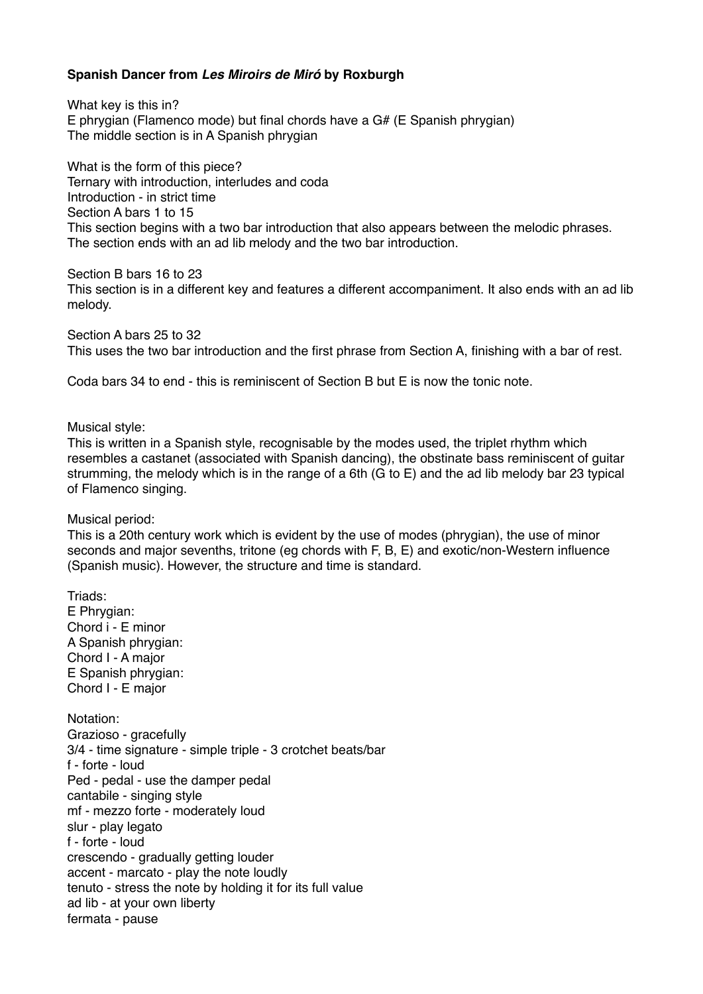## **Spanish Dancer from** *Les Miroirs de Miró* **by Roxburgh**

What key is this in? E phrygian (Flamenco mode) but final chords have a G# (E Spanish phrygian) The middle section is in A Spanish phrygian

What is the form of this piece? Ternary with introduction, interludes and coda Introduction - in strict time Section A bars 1 to 15 This section begins with a two bar introduction that also appears between the melodic phrases. The section ends with an ad lib melody and the two bar introduction.

Section B bars 16 to 23

This section is in a different key and features a different accompaniment. It also ends with an ad lib melody.

Section A bars 25 to 32 This uses the two bar introduction and the first phrase from Section A, finishing with a bar of rest.

Coda bars 34 to end - this is reminiscent of Section B but E is now the tonic note.

Musical style:

This is written in a Spanish style, recognisable by the modes used, the triplet rhythm which resembles a castanet (associated with Spanish dancing), the obstinate bass reminiscent of guitar strumming, the melody which is in the range of a 6th (G to E) and the ad lib melody bar 23 typical of Flamenco singing.

Musical period:

This is a 20th century work which is evident by the use of modes (phrygian), the use of minor seconds and major sevenths, tritone (eg chords with F, B, E) and exotic/non-Western influence (Spanish music). However, the structure and time is standard.

Triads: E Phrygian: Chord i - E minor A Spanish phrygian: Chord I - A major E Spanish phrygian: Chord I - E major Notation: Grazioso - gracefully 3/4 - time signature - simple triple - 3 crotchet beats/bar f - forte - loud Ped - pedal - use the damper pedal cantabile - singing style mf - mezzo forte - moderately loud slur - play legato f - forte - loud crescendo - gradually getting louder accent - marcato - play the note loudly tenuto - stress the note by holding it for its full value ad lib - at your own liberty fermata - pause